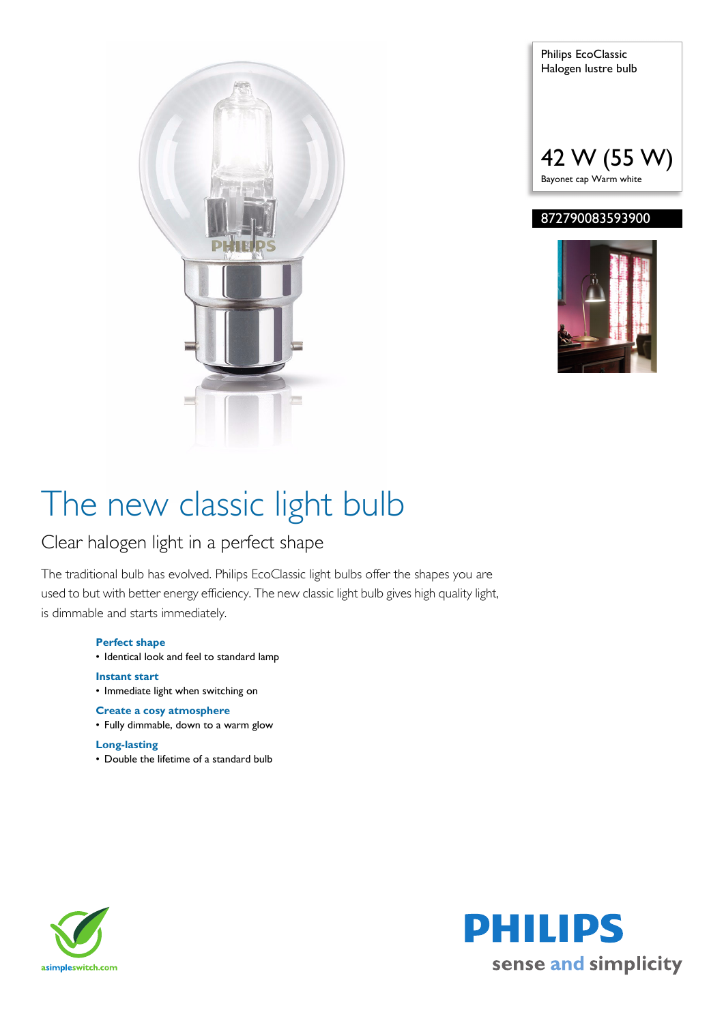



### 872790083593900



# The new classic light bulb

## Clear halogen light in a perfect shape

The traditional bulb has evolved. Philips EcoClassic light bulbs offer the shapes you are used to but with better energy efficiency. The new classic light bulb gives high quality light, is dimmable and starts immediately.

### **Perfect shape**

• Identical look and feel to standard lamp

**Instant start** • Immediate light when switching on

### **Create a cosy atmosphere**

• Fully dimmable, down to a warm glow

#### **Long-lasting**

• Double the lifetime of a standard bulb